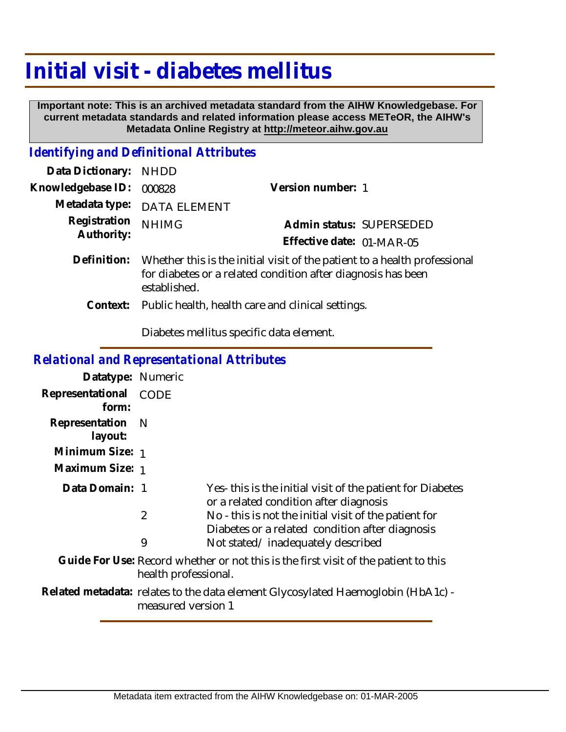## **Initial visit - diabetes mellitus**

 **Important note: This is an archived metadata standard from the AIHW Knowledgebase. For current metadata standards and related information please access METeOR, the AIHW's Metadata Online Registry at http://meteor.aihw.gov.au**

## *Identifying and Definitional Attributes*

| Data Dictionary: NHDD      |                                                                                                                                                           |                                                       |  |
|----------------------------|-----------------------------------------------------------------------------------------------------------------------------------------------------------|-------------------------------------------------------|--|
| Knowledgebase ID:          | 000828                                                                                                                                                    | Version number: 1                                     |  |
| Metadata type:             | <b>DATA ELEMENT</b>                                                                                                                                       |                                                       |  |
| Registration<br>Authority: | <b>NHIMG</b>                                                                                                                                              | Admin status: SUPERSEDED<br>Effective date: 01-MAR-05 |  |
| Definition:                | Whether this is the initial visit of the patient to a health professional<br>for diabetes or a related condition after diagnosis has been<br>established. |                                                       |  |

Context: Public health, health care and clinical settings.

Diabetes mellitus specific data element.

## *Relational and Representational Attributes*

| Datatype: Numeric                                                                                           |             |                                                                                                          |  |
|-------------------------------------------------------------------------------------------------------------|-------------|----------------------------------------------------------------------------------------------------------|--|
| Representational<br>form:                                                                                   | <b>CODE</b> |                                                                                                          |  |
| Representation<br>layout:                                                                                   | - N         |                                                                                                          |  |
| Minimum Size: 1                                                                                             |             |                                                                                                          |  |
| Maximum Size: 1                                                                                             |             |                                                                                                          |  |
| Data Domain: 1                                                                                              |             | Yes-this is the initial visit of the patient for Diabetes<br>or a related condition after diagnosis      |  |
|                                                                                                             | 2           | No - this is not the initial visit of the patient for<br>Diabetes or a related condition after diagnosis |  |
|                                                                                                             | 9           | Not stated/inadequately described                                                                        |  |
| Guide For Use: Record whether or not this is the first visit of the patient to this<br>health professional. |             |                                                                                                          |  |
| Related metadata: relates to the data element Glycosylated Haemoglobin (HbA1c) -                            |             |                                                                                                          |  |

measured version 1